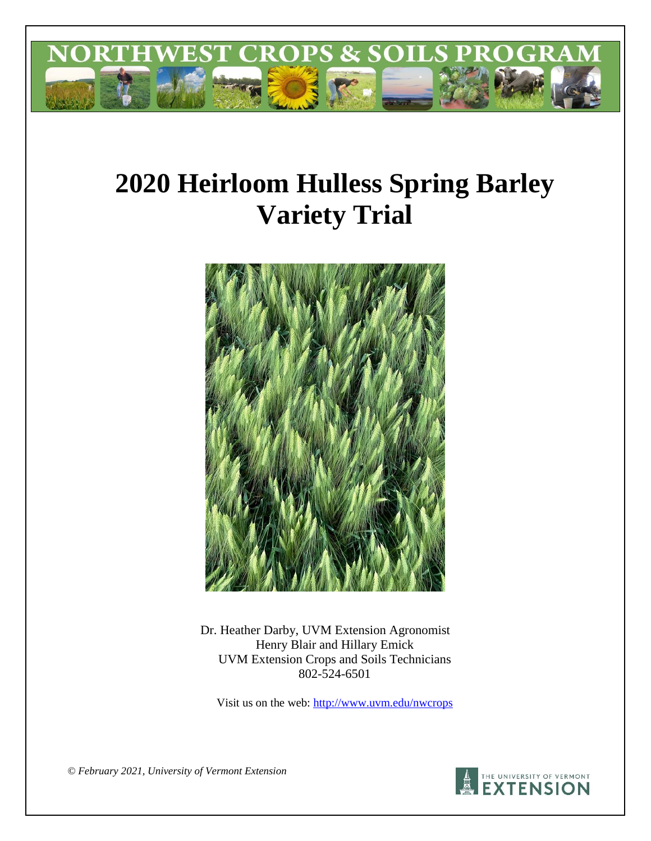

# **2020 Heirloom Hulless Spring Barley Variety Trial**



Dr. Heather Darby, UVM Extension Agronomist Henry Blair and Hillary Emick UVM Extension Crops and Soils Technicians 802-524-6501

Visit us on the web:<http://www.uvm.edu/nwcrops>

*© February 2021, University of Vermont Extension* 

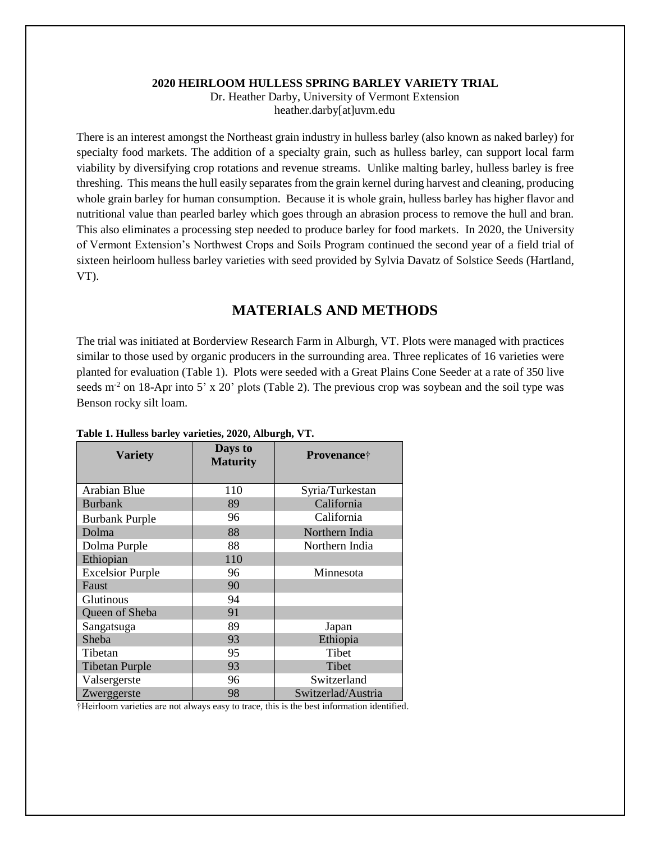#### **2020 HEIRLOOM HULLESS SPRING BARLEY VARIETY TRIAL**

Dr. Heather Darby, University of Vermont Extension heather.darby[at]uvm.edu

There is an interest amongst the Northeast grain industry in hulless barley (also known as naked barley) for specialty food markets. The addition of a specialty grain, such as hulless barley, can support local farm viability by diversifying crop rotations and revenue streams. Unlike malting barley, hulless barley is free threshing. This means the hull easily separates from the grain kernel during harvest and cleaning, producing whole grain barley for human consumption. Because it is whole grain, hulless barley has higher flavor and nutritional value than pearled barley which goes through an abrasion process to remove the hull and bran. This also eliminates a processing step needed to produce barley for food markets. In 2020, the University of Vermont Extension's Northwest Crops and Soils Program continued the second year of a field trial of sixteen heirloom hulless barley varieties with seed provided by Sylvia Davatz of Solstice Seeds (Hartland, VT).

## **MATERIALS AND METHODS**

The trial was initiated at Borderview Research Farm in Alburgh, VT. Plots were managed with practices similar to those used by organic producers in the surrounding area. Three replicates of 16 varieties were planted for evaluation (Table 1). Plots were seeded with a Great Plains Cone Seeder at a rate of 350 live seeds  $m<sup>2</sup>$  on 18-Apr into 5' x 20' plots (Table 2). The previous crop was soybean and the soil type was Benson rocky silt loam.

| <b>Variety</b>          | Days to<br><b>Maturity</b> | Provenance <sup>†</sup> |
|-------------------------|----------------------------|-------------------------|
| <b>Arabian Blue</b>     | 110                        | Syria/Turkestan         |
| <b>Burbank</b>          | 89                         | California              |
| <b>Burbank Purple</b>   | 96                         | California              |
| Dolma                   | 88                         | Northern India          |
| Dolma Purple            | 88                         | Northern India          |
| Ethiopian               | 110                        |                         |
| <b>Excelsior Purple</b> | 96                         | Minnesota               |
| Faust                   | 90                         |                         |
| Glutinous               | 94                         |                         |
| Queen of Sheba          | 91                         |                         |
| Sangatsuga              | 89                         | Japan                   |
| Sheba                   | 93                         | Ethiopia                |
| Tibetan                 | 95                         | Tibet                   |
| <b>Tibetan Purple</b>   | 93                         | <b>Tibet</b>            |
| Valsergerste            | 96                         | Switzerland             |
| Zwerggerste             | 98                         | Switzerlad/Austria      |

#### **Table 1. Hulless barley varieties, 2020, Alburgh, VT.**

†Heirloom varieties are not always easy to trace, this is the best information identified.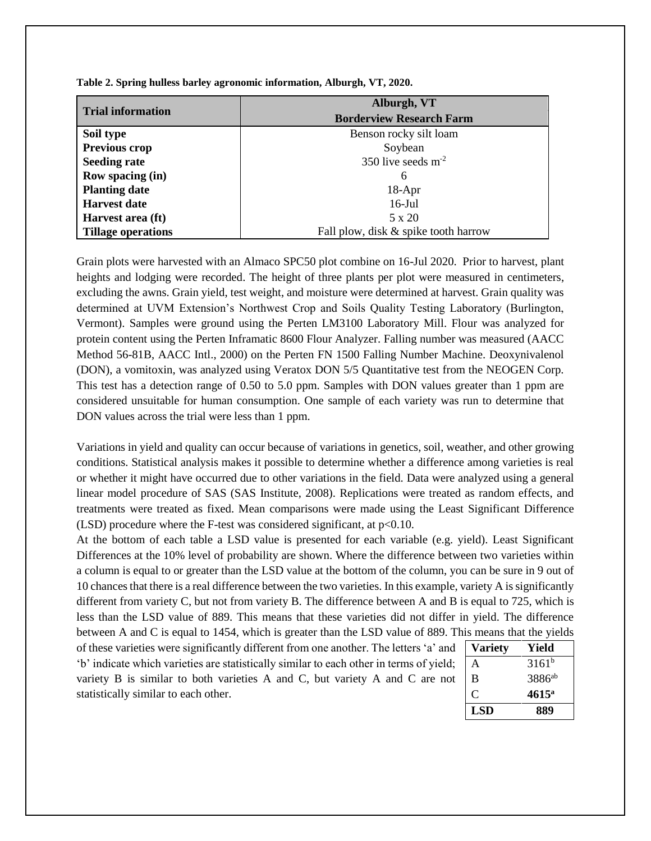|                           | Alburgh, VT                          |  |  |
|---------------------------|--------------------------------------|--|--|
| <b>Trial information</b>  | <b>Borderview Research Farm</b>      |  |  |
| Soil type                 | Benson rocky silt loam               |  |  |
| Previous crop             | Soybean                              |  |  |
| <b>Seeding rate</b>       | 350 live seeds $m2$                  |  |  |
| Row spacing (in)          | 6                                    |  |  |
| <b>Planting date</b>      | $18-Apr$                             |  |  |
| <b>Harvest date</b>       | $16$ -Jul                            |  |  |
| Harvest area (ft)         | $5 \times 20$                        |  |  |
| <b>Tillage operations</b> | Fall plow, disk & spike tooth harrow |  |  |

**Table 2. Spring hulless barley agronomic information, Alburgh, VT, 2020.**

Grain plots were harvested with an Almaco SPC50 plot combine on 16-Jul 2020. Prior to harvest, plant heights and lodging were recorded. The height of three plants per plot were measured in centimeters, excluding the awns. Grain yield, test weight, and moisture were determined at harvest. Grain quality was determined at UVM Extension's Northwest Crop and Soils Quality Testing Laboratory (Burlington, Vermont). Samples were ground using the Perten LM3100 Laboratory Mill. Flour was analyzed for protein content using the Perten Inframatic 8600 Flour Analyzer. Falling number was measured (AACC Method 56-81B, AACC Intl., 2000) on the Perten FN 1500 Falling Number Machine. Deoxynivalenol (DON), a vomitoxin, was analyzed using Veratox DON 5/5 Quantitative test from the NEOGEN Corp. This test has a detection range of 0.50 to 5.0 ppm. Samples with DON values greater than 1 ppm are considered unsuitable for human consumption. One sample of each variety was run to determine that DON values across the trial were less than 1 ppm.

Variations in yield and quality can occur because of variations in genetics, soil, weather, and other growing conditions. Statistical analysis makes it possible to determine whether a difference among varieties is real or whether it might have occurred due to other variations in the field. Data were analyzed using a general linear model procedure of SAS (SAS Institute, 2008). Replications were treated as random effects, and treatments were treated as fixed. Mean comparisons were made using the Least Significant Difference (LSD) procedure where the F-test was considered significant, at  $p<0.10$ .

At the bottom of each table a LSD value is presented for each variable (e.g. yield). Least Significant Differences at the 10% level of probability are shown. Where the difference between two varieties within a column is equal to or greater than the LSD value at the bottom of the column, you can be sure in 9 out of 10 chances that there is a real difference between the two varieties. In this example, variety A is significantly different from variety C, but not from variety B. The difference between A and B is equal to 725, which is less than the LSD value of 889. This means that these varieties did not differ in yield. The difference between A and C is equal to 1454, which is greater than the LSD value of 889. This means that the yields

of these varieties were significantly different from one another. The letters 'a' and 'b' indicate which varieties are statistically similar to each other in terms of yield; variety B is similar to both varieties A and C, but variety A and C are not statistically similar to each other.

| <b>Variety</b> | Yield              |
|----------------|--------------------|
| A              | $3161^{b}$         |
| B              | 3886 <sup>ab</sup> |
| C              | $4615^{\rm a}$     |
| <b>LSD</b>     | 889                |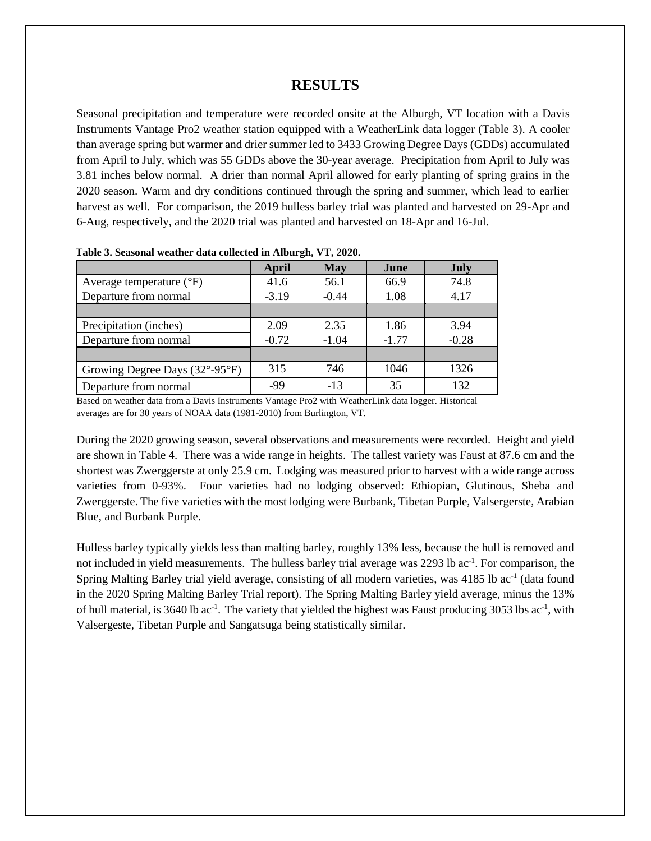## **RESULTS**

Seasonal precipitation and temperature were recorded onsite at the Alburgh, VT location with a Davis Instruments Vantage Pro2 weather station equipped with a WeatherLink data logger (Table 3). A cooler than average spring but warmer and drier summer led to 3433 Growing Degree Days (GDDs) accumulated from April to July, which was 55 GDDs above the 30-year average. Precipitation from April to July was 3.81 inches below normal. A drier than normal April allowed for early planting of spring grains in the 2020 season. Warm and dry conditions continued through the spring and summer, which lead to earlier harvest as well. For comparison, the 2019 hulless barley trial was planted and harvested on 29-Apr and 6-Aug, respectively, and the 2020 trial was planted and harvested on 18-Apr and 16-Jul.

|                                     | <b>April</b> | <b>May</b> | June    | <b>July</b> |
|-------------------------------------|--------------|------------|---------|-------------|
| Average temperature $({}^{\circ}F)$ | 41.6         | 56.1       | 66.9    | 74.8        |
| Departure from normal               | $-3.19$      | $-0.44$    | 1.08    | 4.17        |
|                                     |              |            |         |             |
| Precipitation (inches)              | 2.09         | 2.35       | 1.86    | 3.94        |
| Departure from normal               | $-0.72$      | $-1.04$    | $-1.77$ | $-0.28$     |
|                                     |              |            |         |             |
| Growing Degree Days (32°-95°F)      | 315          | 746        | 1046    | 1326        |
| Departure from normal               | -99          | $-13$      | 35      | 132         |

 **Table 3. Seasonal weather data collected in Alburgh, VT, 2020.**

Based on weather data from a Davis Instruments Vantage Pro2 with WeatherLink data logger. Historical averages are for 30 years of NOAA data (1981-2010) from Burlington, VT.

During the 2020 growing season, several observations and measurements were recorded. Height and yield are shown in Table 4. There was a wide range in heights. The tallest variety was Faust at 87.6 cm and the shortest was Zwerggerste at only 25.9 cm. Lodging was measured prior to harvest with a wide range across varieties from 0-93%. Four varieties had no lodging observed: Ethiopian, Glutinous, Sheba and Zwerggerste. The five varieties with the most lodging were Burbank, Tibetan Purple, Valsergerste, Arabian Blue, and Burbank Purple.

Hulless barley typically yields less than malting barley, roughly 13% less, because the hull is removed and not included in yield measurements. The hulless barley trial average was 2293 lb ac<sup>-1</sup>. For comparison, the Spring Malting Barley trial yield average, consisting of all modern varieties, was 4185 lb ac<sup>-1</sup> (data found in the 2020 Spring Malting Barley Trial report). The Spring Malting Barley yield average, minus the 13% of hull material, is 3640 lb ac<sup>-1</sup>. The variety that yielded the highest was Faust producing 3053 lbs ac<sup>-1</sup>, with Valsergeste, Tibetan Purple and Sangatsuga being statistically similar.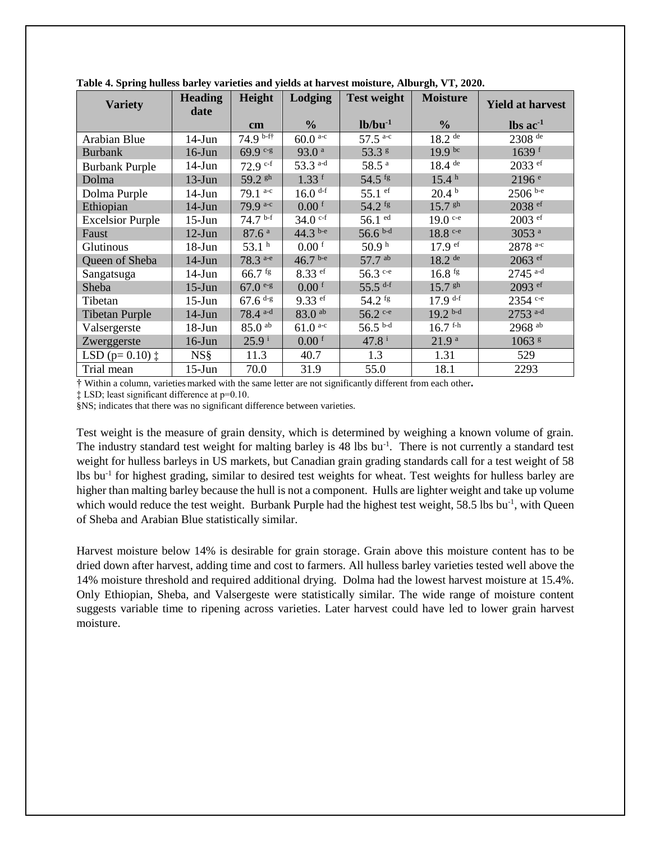| <b>Variety</b>              | <b>Heading</b><br>date | Height                | Lodging               | <b>Test weight</b>             | <b>Moisture</b>       | Yield at harvest              |
|-----------------------------|------------------------|-----------------------|-----------------------|--------------------------------|-----------------------|-------------------------------|
|                             |                        | $\mathbf{cm}$         | $\frac{0}{0}$         | $lb/bu^{-1}$                   | $\frac{0}{0}$         | $\text{lbs}$ ac <sup>-1</sup> |
| Arabian Blue                | $14-J$ un              | $74.9$ b-ff           | $60.0^{a-c}$          | $57.5$ <sup>a-c</sup>          | $18.2$ <sup>de</sup>  | 2308 de                       |
| <b>Burbank</b>              | $16$ -Jun              | $69.9$ c-g            | 93.0 <sup>a</sup>     | 53.3 <sup>g</sup>              | $19.9^{bc}$           | $1639$ <sup>f</sup>           |
| <b>Burbank Purple</b>       | $14-Jun$               | 72.9 c-f              | 53.3 a-d              | 58.5 <sup>a</sup>              | $18.4$ <sup>de</sup>  | $2033$ ef                     |
| Dolma                       | $13-Jun$               | 59.2 gh               | $1.33$ f              | 54.5 <sup>fg</sup>             | 15.4 <sup>h</sup>     | 2196 <sup>e</sup>             |
| Dolma Purple                | $14$ -Jun              | 79.1 a-c              | $16.0$ <sup>d-f</sup> | 55.1 $\mathrm{e}^{\mathrm{f}}$ | 20.4 <sup>b</sup>     | $2506$ b-e                    |
| Ethiopian                   | $14-J$ un              | 79.9 a-c              | $0.00$ f              | 54.2 fg                        | $15.7$ $$^{th}$       | 2038 ef                       |
| <b>Excelsior Purple</b>     | $15$ -Jun              | $74.7$ b-f            | 34.0 $e^{-f}$         | $56.1 \overline{ed}$           | $19.0$ c-e            | $2003$ ef                     |
| Faust                       | $12-Jun$               | 87.6 <sup>a</sup>     | 44.3 b-e              | 56.6 $b-d$                     | $18.8$ c-e            | 3053 <sup>a</sup>             |
| Glutinous                   | $18 - Jun$             | 53.1 <sup>h</sup>     | $0.00$ f              | 50.9 <sup>h</sup>              | 17.9 <sup>ef</sup>    | 2878 a-c                      |
| Queen of Sheba              | $14-Jun$               | 78.3 a-e              | $46.7^{b-e}$          | 57.7 ab                        | $18.2$ <sup>de</sup>  | 2063 ef                       |
| Sangatsuga                  | $14-J$ un              | $66.7$ fg             | $8.33$ ef             | $56.3$ c-e                     | $16.8$ fg             | $2745$ <sup>a-d</sup>         |
| Sheba                       | $15$ -Jun              | $67.0e-g$             | $0.00$ <sup>f</sup>   | 55.5 $d-f$                     | $15.7$ $\rm{gh}$      | 2093 <sup>ef</sup>            |
| Tibetan                     | $15$ -Jun              | $67.6$ <sup>d-g</sup> | $9.33$ ef             | 54.2 <sup>fg</sup>             | $17.9$ <sup>d-f</sup> | 2354 c-e                      |
| <b>Tibetan Purple</b>       | $14-J$ un              | $78.4^{a-d}$          | $83.0$ <sup>ab</sup>  | 56.2 c-e                       | $19.2^{b-d}$          | 2753 a-d                      |
| Valsergerste                | $18 - Jun$             | $85.0$ <sup>ab</sup>  | $61.0^{a-c}$          | $56.5$ b-d                     | 16.7 f <sub>th</sub>  | 2968 ab                       |
| Zwerggerste                 | $16$ -Jun              | $25.9^{\mathrm{i}}$   | 0.00 <sup>f</sup>     | $47.8^{\text{ i}}$             | 21.9 <sup>a</sup>     | 1063 <sup>g</sup>             |
| LSD ( $p=0.10$ ) $\ddagger$ | NS <sub>8</sub>        | 11.3                  | 40.7                  | 1.3                            | 1.31                  | 529                           |
| Trial mean                  | $15$ -Jun              | 70.0                  | 31.9                  | 55.0                           | 18.1                  | 2293                          |

**Table 4. Spring hulless barley varieties and yields at harvest moisture, Alburgh, VT, 2020.** 

† Within a column, varieties marked with the same letter are not significantly different from each other**.** 

‡ LSD; least significant difference at p=0.10.

§NS; indicates that there was no significant difference between varieties.

Test weight is the measure of grain density, which is determined by weighing a known volume of grain. The industry standard test weight for malting barley is 48 lbs bu<sup>-1</sup>. There is not currently a standard test weight for hulless barleys in US markets, but Canadian grain grading standards call for a test weight of 58 lbs bu<sup>-1</sup> for highest grading, similar to desired test weights for wheat. Test weights for hulless barley are higher than malting barley because the hull is not a component. Hulls are lighter weight and take up volume which would reduce the test weight. Burbank Purple had the highest test weight,  $58.5$  lbs bu<sup>-1</sup>, with Queen of Sheba and Arabian Blue statistically similar.

Harvest moisture below 14% is desirable for grain storage. Grain above this moisture content has to be dried down after harvest, adding time and cost to farmers. All hulless barley varieties tested well above the 14% moisture threshold and required additional drying. Dolma had the lowest harvest moisture at 15.4%. Only Ethiopian, Sheba, and Valsergeste were statistically similar. The wide range of moisture content suggests variable time to ripening across varieties. Later harvest could have led to lower grain harvest moisture.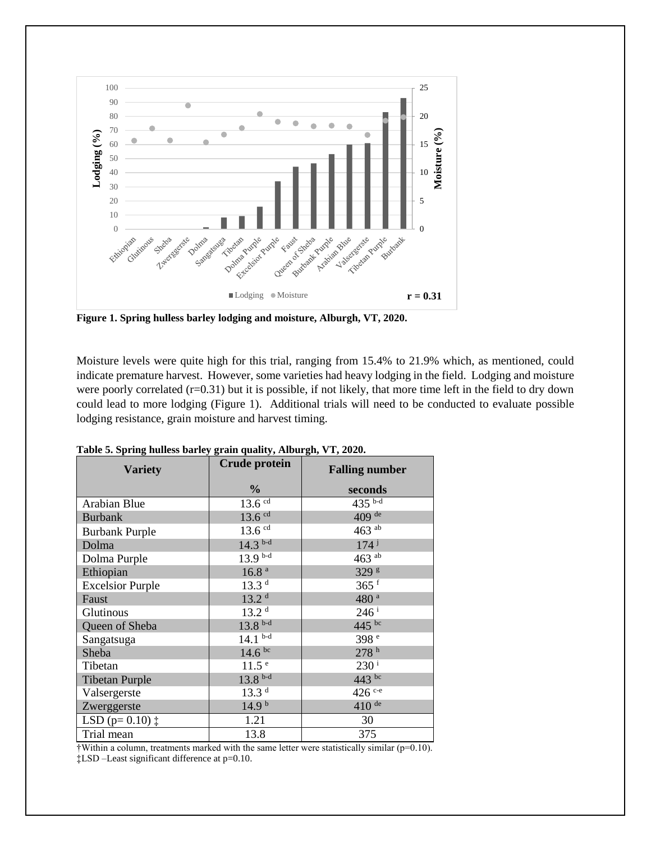

**Figure 1. Spring hulless barley lodging and moisture, Alburgh, VT, 2020.**

Moisture levels were quite high for this trial, ranging from 15.4% to 21.9% which, as mentioned, could indicate premature harvest. However, some varieties had heavy lodging in the field. Lodging and moisture were poorly correlated (r=0.31) but it is possible, if not likely, that more time left in the field to dry down could lead to more lodging (Figure 1). Additional trials will need to be conducted to evaluate possible lodging resistance, grain moisture and harvest timing.

| <b>Variety</b>              | <b>Crude protein</b> | <b>Falling number</b> |  |
|-----------------------------|----------------------|-----------------------|--|
|                             | $\frac{0}{0}$        | seconds               |  |
| Arabian Blue                | $13.6$ $cd$          | $435^{b-d}$           |  |
| <b>Burbank</b>              | $13.6$ $cd$          | 409 de                |  |
| <b>Burbank Purple</b>       | $13.6$ cd            | 463 $ab$              |  |
| Dolma                       | $14.3^{b-d}$         | 174j                  |  |
| Dolma Purple                | $13.9^{b-d}$         | 463 $^{ab}$           |  |
| Ethiopian                   | 16.8 <sup>a</sup>    | 329 <sup>g</sup>      |  |
| <b>Excelsior Purple</b>     | 13.3 <sup>d</sup>    | $365$ <sup>f</sup>    |  |
| Faust                       | 13.2 <sup>d</sup>    | 480 <sup>a</sup>      |  |
| Glutinous                   | 13.2 <sup>d</sup>    | $246$ <sup>i</sup>    |  |
| Queen of Sheba              | $13.8^{b-d}$         | 445 bc                |  |
| Sangatsuga                  | $14.1^{b-d}$         | 398 <sup>e</sup>      |  |
| Sheba                       | 14.6 <sup>bc</sup>   | 278 <sup>h</sup>      |  |
| Tibetan                     | 11.5 <sup>e</sup>    | $230^{\rm i}$         |  |
| <b>Tibetan Purple</b>       | $13.8b-d$            | 443 bc                |  |
| Valsergerste                | 13.3 <sup>d</sup>    | $426$ c-e             |  |
| Zwerggerste                 | 14.9 <sup>b</sup>    | $410$ <sup>de</sup>   |  |
| LSD ( $p=0.10$ ) $\ddagger$ | 1.21                 | 30                    |  |
| Trial mean                  | 13.8                 | 375                   |  |

**Table 5. Spring hulless barley grain quality, Alburgh, VT, 2020.**

†Within a column, treatments marked with the same letter were statistically similar (p=0.10). ‡LSD –Least significant difference at p=0.10.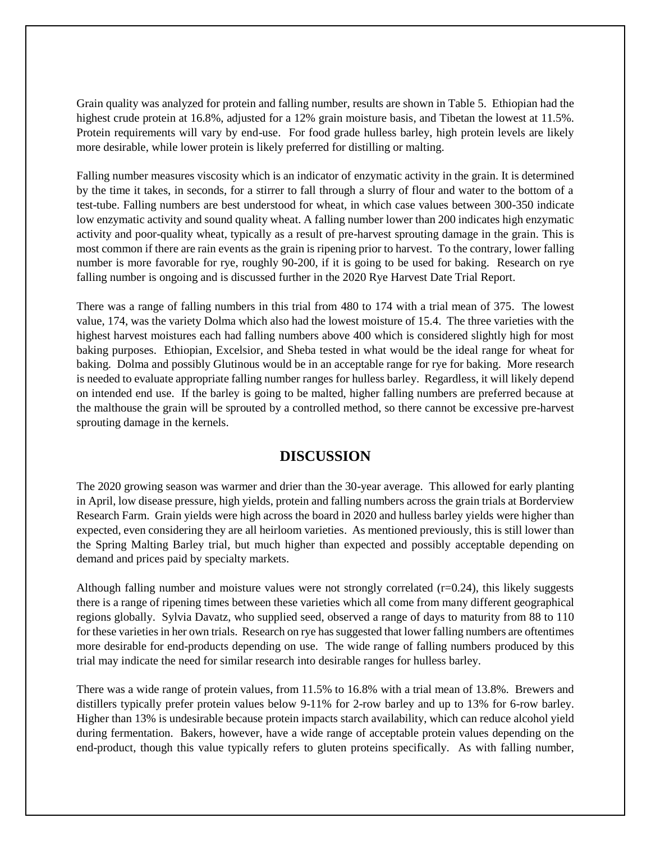Grain quality was analyzed for protein and falling number, results are shown in Table 5. Ethiopian had the highest crude protein at 16.8%, adjusted for a 12% grain moisture basis, and Tibetan the lowest at 11.5%. Protein requirements will vary by end-use. For food grade hulless barley, high protein levels are likely more desirable, while lower protein is likely preferred for distilling or malting.

Falling number measures viscosity which is an indicator of enzymatic activity in the grain. It is determined by the time it takes, in seconds, for a stirrer to fall through a slurry of flour and water to the bottom of a test-tube. Falling numbers are best understood for wheat, in which case values between 300-350 indicate low enzymatic activity and sound quality wheat. A falling number lower than 200 indicates high enzymatic activity and poor-quality wheat, typically as a result of pre-harvest sprouting damage in the grain. This is most common if there are rain events as the grain is ripening prior to harvest. To the contrary, lower falling number is more favorable for rye, roughly 90-200, if it is going to be used for baking. Research on rye falling number is ongoing and is discussed further in the 2020 Rye Harvest Date Trial Report.

There was a range of falling numbers in this trial from 480 to 174 with a trial mean of 375. The lowest value, 174, was the variety Dolma which also had the lowest moisture of 15.4. The three varieties with the highest harvest moistures each had falling numbers above 400 which is considered slightly high for most baking purposes. Ethiopian, Excelsior, and Sheba tested in what would be the ideal range for wheat for baking. Dolma and possibly Glutinous would be in an acceptable range for rye for baking. More research is needed to evaluate appropriate falling number ranges for hulless barley. Regardless, it will likely depend on intended end use. If the barley is going to be malted, higher falling numbers are preferred because at the malthouse the grain will be sprouted by a controlled method, so there cannot be excessive pre-harvest sprouting damage in the kernels.

## **DISCUSSION**

The 2020 growing season was warmer and drier than the 30-year average. This allowed for early planting in April, low disease pressure, high yields, protein and falling numbers across the grain trials at Borderview Research Farm. Grain yields were high across the board in 2020 and hulless barley yields were higher than expected, even considering they are all heirloom varieties. As mentioned previously, this is still lower than the Spring Malting Barley trial, but much higher than expected and possibly acceptable depending on demand and prices paid by specialty markets.

Although falling number and moisture values were not strongly correlated  $(r=0.24)$ , this likely suggests there is a range of ripening times between these varieties which all come from many different geographical regions globally. Sylvia Davatz, who supplied seed, observed a range of days to maturity from 88 to 110 for these varietiesin her own trials. Research on rye has suggested that lower falling numbers are oftentimes more desirable for end-products depending on use. The wide range of falling numbers produced by this trial may indicate the need for similar research into desirable ranges for hulless barley.

There was a wide range of protein values, from 11.5% to 16.8% with a trial mean of 13.8%. Brewers and distillers typically prefer protein values below 9-11% for 2-row barley and up to 13% for 6-row barley. Higher than 13% is undesirable because protein impacts starch availability, which can reduce alcohol yield during fermentation. Bakers, however, have a wide range of acceptable protein values depending on the end-product, though this value typically refers to gluten proteins specifically. As with falling number,